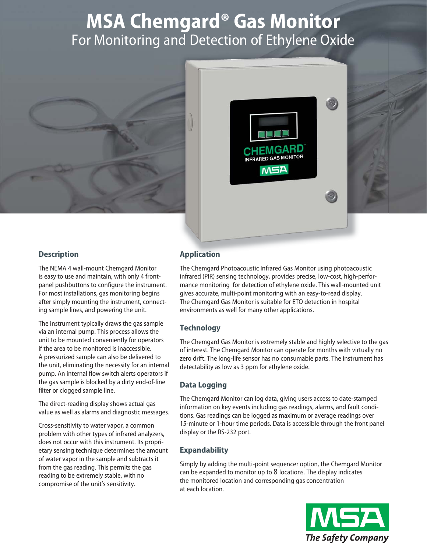# **MSA Chemgard® Gas Monitor**  For Monitoring and Detection of Ethylene Oxide





# **Description**

The NEMA 4 wall-mount Chemgard Monitor is easy to use and maintain, with only 4 frontpanel pushbuttons to configure the instrument. For most installations, gas monitoring begins after simply mounting the instrument, connecting sample lines, and powering the unit.

The instrument typically draws the gas sample via an internal pump. This process allows the unit to be mounted conveniently for operators if the area to be monitored is inaccessible. A pressurized sample can also be delivered to the unit, eliminating the necessity for an internal pump. An internal flow switch alerts operators if the gas sample is blocked by a dirty end-of-line filter or clogged sample line.

The direct-reading display shows actual gas value as well as alarms and diagnostic messages.

Cross-sensitivity to water vapor, a common problem with other types of infrared analyzers, does not occur with this instrument. Its proprietary sensing technique determines the amount of water vapor in the sample and subtracts it from the gas reading. This permits the gas reading to be extremely stable, with no compromise of the unit's sensitivity.

# **Application**

The Chemgard Photoacoustic Infrared Gas Monitor using photoacoustic infrared (PIR) sensing technology, provides precise, low-cost, high-performance monitoring for detection of ethylene oxide. This wall-mounted unit gives accurate, multi-point monitoring with an easy-to-read display. The Chemgard Gas Monitor is suitable for ETO detection in hospital environments as well for many other applications.

# **Technology**

The Chemgard Gas Monitor is extremely stable and highly selective to the gas of interest. The Chemgard Monitor can operate for months with virtually no zero drift. The long-life sensor has no consumable parts. The instrument has detectability as low as 3 ppm for ethylene oxide.

## **Data Logging**

The Chemgard Monitor can log data, giving users access to date-stamped information on key events including gas readings, alarms, and fault conditions. Gas readings can be logged as maximum or average readings over 15-minute or 1-hour time periods. Data is accessible through the front panel display or the RS-232 port.

## **Expandability**

Simply by adding the multi-point sequencer option, the Chemgard Monitor can be expanded to monitor up to 8 locations. The display indicates the monitored location and corresponding gas concentration at each location.